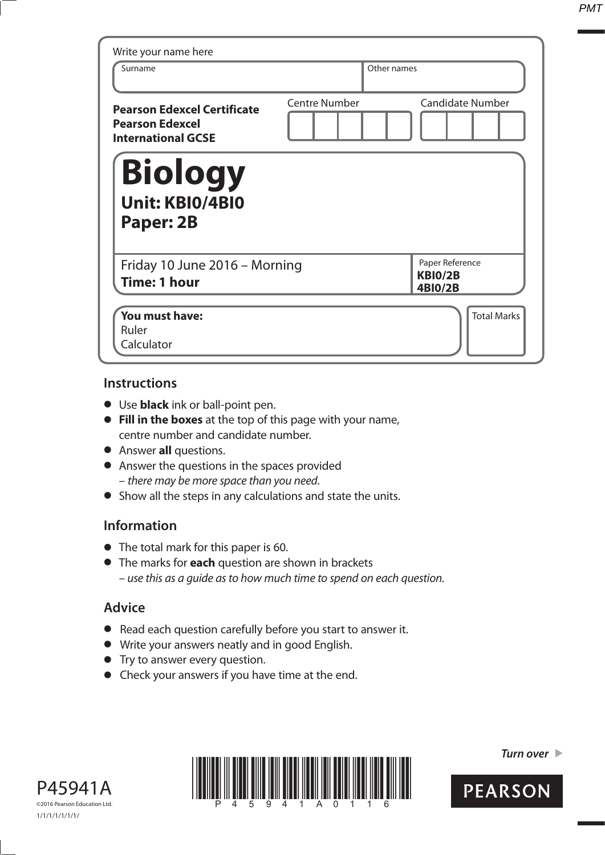| <b>Centre Number</b> |                               | <b>Candidate Number</b>                             |
|----------------------|-------------------------------|-----------------------------------------------------|
|                      |                               |                                                     |
|                      |                               |                                                     |
|                      |                               | Paper Reference<br><b>KBI0/2B</b><br><b>4BI0/2B</b> |
|                      | Friday 10 June 2016 - Morning |                                                     |

## **Instructions**

- **•** Use **black** ink or ball-point pen.
- **• Fill in the boxes** at the top of this page with your name, centre number and candidate number.
- **•** Answer **all** questions.
- **•** Answer the questions in the spaces provided – there may be more space than you need.
- **•** Show all the steps in any calculations and state the units.

## **Information**

- **•** The total mark for this paper is 60.
- **•** The marks for **each** question are shown in brackets – use this as a guide as to how much time to spend on each question.

## **Advice**

- **•** Read each question carefully before you start to answer it.
- Read each question carefully before you start t<br>• Write your answers neatly and in good English. • Write your answers neatly and in good English.<br>• Try to answer every question.
- 
- **•** Check your answers if you have time at the end.





*Turn over* 

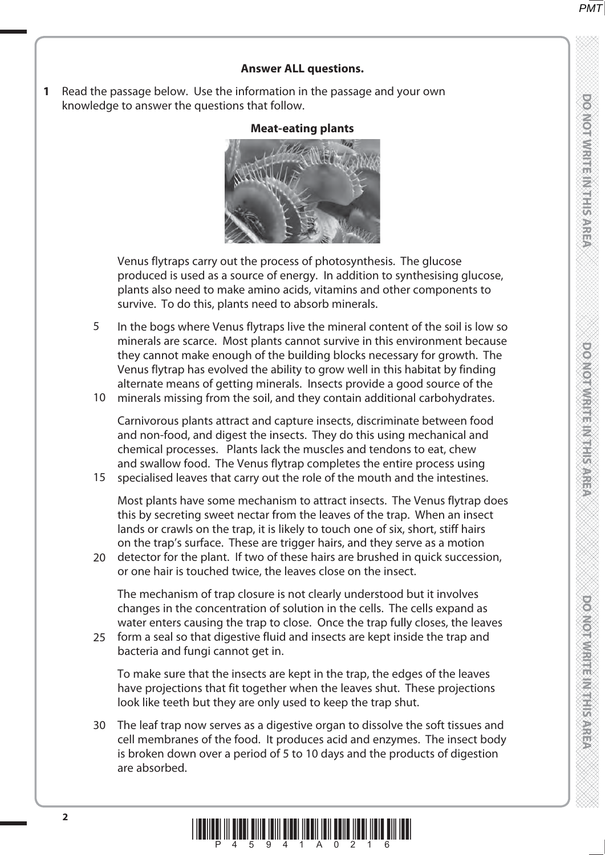## **Answer ALL questions.**

**1** Read the passage below. Use the information in the passage and your own knowledge to answer the questions that follow.



**Meat-eating plants**

Venus flytraps carry out the process of photosynthesis. The glucose produced is used as a source of energy. In addition to synthesising glucose, plants also need to make amino acids, vitamins and other components to survive. To do this, plants need to absorb minerals.

- 5 In the bogs where Venus flytraps live the mineral content of the soil is low so minerals are scarce. Most plants cannot survive in this environment because they cannot make enough of the building blocks necessary for growth. The Venus flytrap has evolved the ability to grow well in this habitat by finding alternate means of getting minerals. Insects provide a good source of the
- 10 minerals missing from the soil, and they contain additional carbohydrates.

Carnivorous plants attract and capture insects, discriminate between food and non-food, and digest the insects. They do this using mechanical and chemical processes. Plants lack the muscles and tendons to eat, chew and swallow food. The Venus flytrap completes the entire process using

15 specialised leaves that carry out the role of the mouth and the intestines.

Most plants have some mechanism to attract insects. The Venus flytrap does this by secreting sweet nectar from the leaves of the trap. When an insect lands or crawls on the trap, it is likely to touch one of six, short, stiff hairs on the trap's surface. These are trigger hairs, and they serve as a motion

20 detector for the plant. If two of these hairs are brushed in quick succession, or one hair is touched twice, the leaves close on the insect.

The mechanism of trap closure is not clearly understood but it involves changes in the concentration of solution in the cells. The cells expand as water enters causing the trap to close. Once the trap fully closes, the leaves

25 form a seal so that digestive fluid and insects are kept inside the trap and bacteria and fungi cannot get in.

To make sure that the insects are kept in the trap, the edges of the leaves have projections that fit together when the leaves shut. These projections look like teeth but they are only used to keep the trap shut.

30 The leaf trap now serves as a digestive organ to dissolve the soft tissues and cell membranes of the food. It produces acid and enzymes. The insect body is broken down over a period of 5 to 10 days and the products of digestion are absorbed.



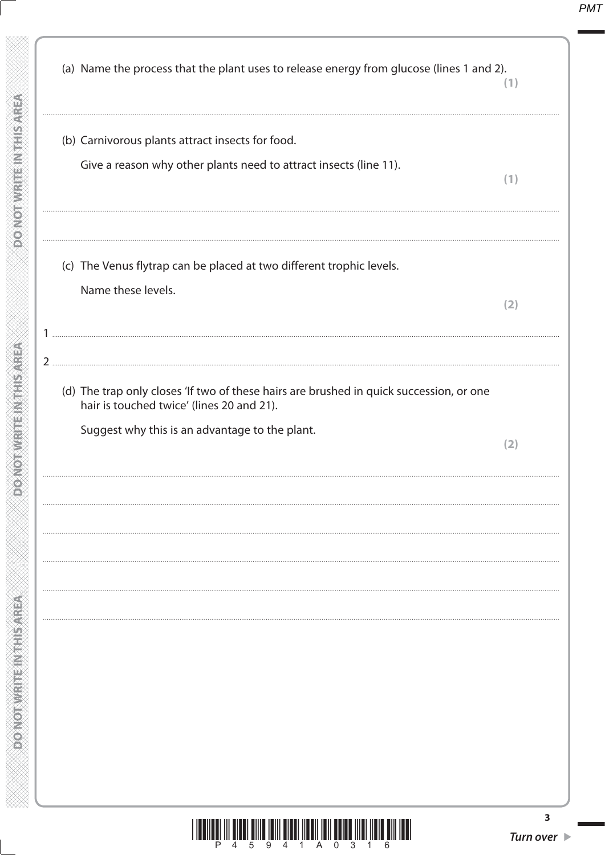|   | (a) Name the process that the plant uses to release energy from glucose (lines 1 and 2).                                                                                               | (1)                             |
|---|----------------------------------------------------------------------------------------------------------------------------------------------------------------------------------------|---------------------------------|
|   | (b) Carnivorous plants attract insects for food.<br>Give a reason why other plants need to attract insects (line 11).                                                                  | (1)                             |
|   | (c) The Venus flytrap can be placed at two different trophic levels.<br>Name these levels.                                                                                             | (2)                             |
| 2 | (d) The trap only closes 'If two of these hairs are brushed in quick succession, or one<br>hair is touched twice' (lines 20 and 21).<br>Suggest why this is an advantage to the plant. | (2)                             |
|   |                                                                                                                                                                                        |                                 |
|   |                                                                                                                                                                                        |                                 |
|   | $\overline{1}$                                                                                                                                                                         | Turn over $\blacktriangleright$ |

 $\begin{matrix} 1 \\ 1 \\ 2 \end{matrix}$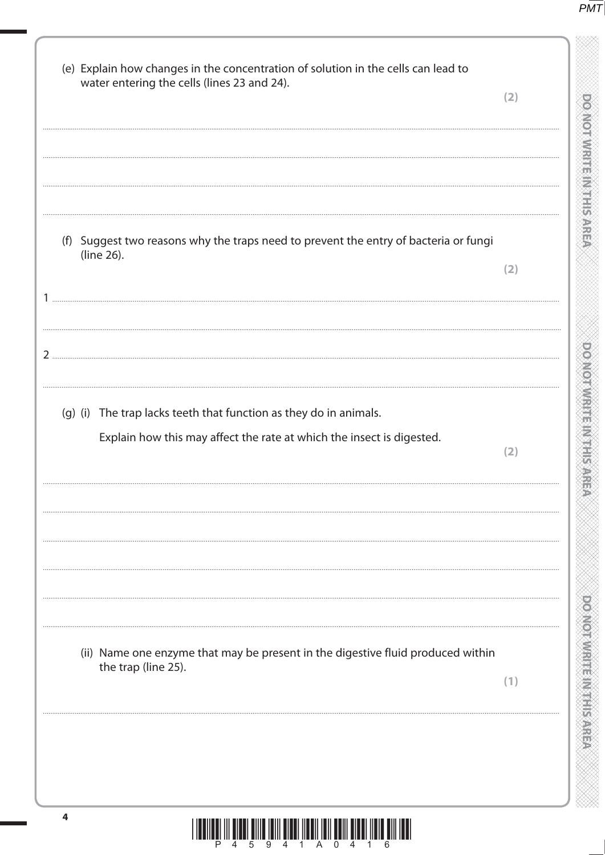| water entering the cells (lines 23 and 24).                                                                                                | (2) |
|--------------------------------------------------------------------------------------------------------------------------------------------|-----|
| (f) Suggest two reasons why the traps need to prevent the entry of bacteria or fungi<br>(line 26).                                         | (2) |
| (g) (i) The trap lacks teeth that function as they do in animals.<br>Explain how this may affect the rate at which the insect is digested. | (2) |
| (ii) Name one enzyme that may be present in the digestive fluid produced within<br>the trap (line 25).                                     | (1) |
| 4<br><u> IIII AN III AN AN AN AINM III AN AINM II</u>                                                                                      |     |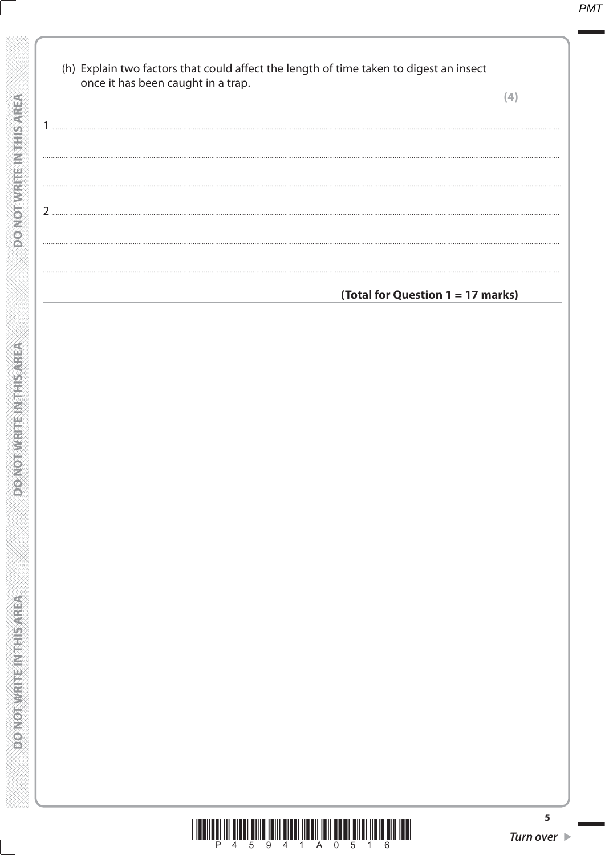|                | (h) Explain two factors that could affect the length of time taken to digest an insect<br>once it has been caught in a trap. | (4)                               |
|----------------|------------------------------------------------------------------------------------------------------------------------------|-----------------------------------|
|                |                                                                                                                              |                                   |
| 1              |                                                                                                                              |                                   |
|                |                                                                                                                              |                                   |
|                |                                                                                                                              |                                   |
| $\overline{2}$ |                                                                                                                              |                                   |
|                |                                                                                                                              |                                   |
|                |                                                                                                                              |                                   |
|                |                                                                                                                              | (Total for Question 1 = 17 marks) |
|                |                                                                                                                              |                                   |
|                |                                                                                                                              |                                   |
|                |                                                                                                                              |                                   |
|                |                                                                                                                              |                                   |
|                |                                                                                                                              |                                   |
|                |                                                                                                                              |                                   |
|                |                                                                                                                              |                                   |
|                |                                                                                                                              |                                   |
|                |                                                                                                                              |                                   |
|                |                                                                                                                              |                                   |
|                |                                                                                                                              |                                   |
|                |                                                                                                                              |                                   |
|                |                                                                                                                              |                                   |
|                |                                                                                                                              |                                   |
|                |                                                                                                                              |                                   |
|                |                                                                                                                              |                                   |
|                |                                                                                                                              |                                   |
|                |                                                                                                                              |                                   |
|                |                                                                                                                              |                                   |
|                |                                                                                                                              |                                   |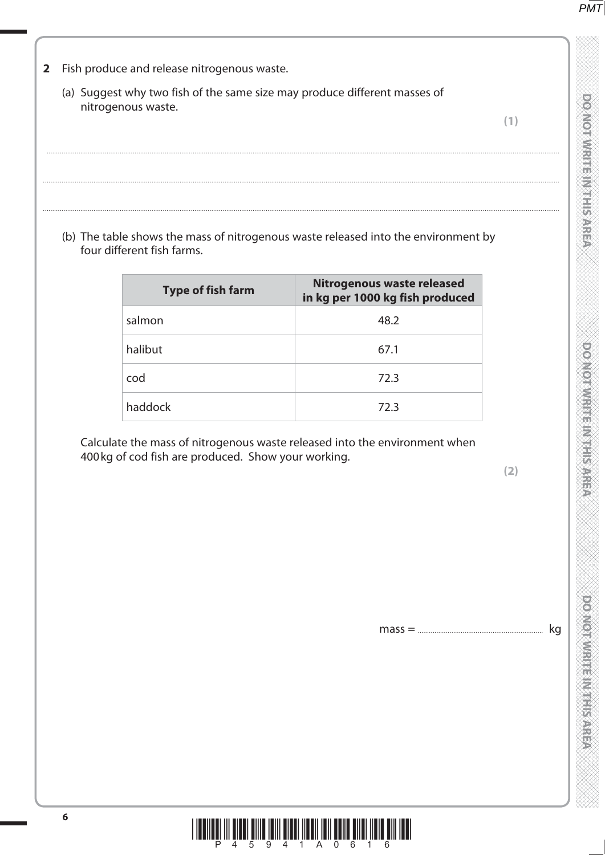- **2** Fish produce and release nitrogenous waste.
	- (a) Suggest why two fish of the same size may produce different masses of nitrogenous waste.

**(1)**

..................................................................................................................................................................................................................................................................................

....................................................................................................................................................................................................................................................................................

....................................................................................................................................................................................................................................................................................

 (b) The table shows the mass of nitrogenous waste released into the environment by four different fish farms.

| <b>Type of fish farm</b> | <b>Nitrogenous waste released</b><br>in kg per 1000 kg fish produced |
|--------------------------|----------------------------------------------------------------------|
| salmon                   | 48.2                                                                 |
| halibut                  | 67.1                                                                 |
| cod                      | 72.3                                                                 |
| haddock                  | 72.3                                                                 |

 Calculate the mass of nitrogenous waste released into the environment when 400kg of cod fish are produced. Show your working.

**(2)**

mass = ................................................................... kg



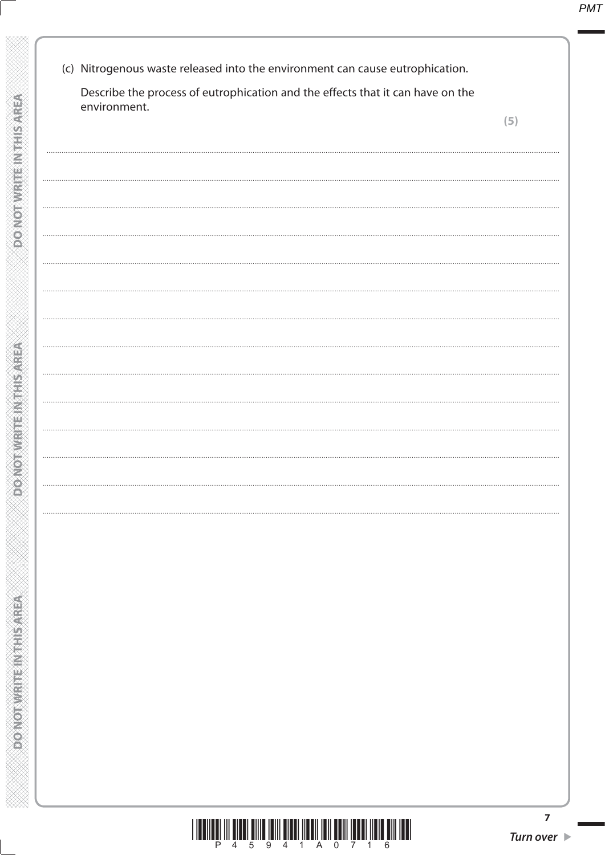(c) Nitrogenous waste released into the environment can cause eutrophication. Describe the process of eutrophication and the effects that it can have on the environment.  $(5)$ **DO NOT WRITE INTERNETA**  $\overline{7}$ 

**DONOT WRITE INTHIS AREA** 

**DONOT WRITE NITHIS AREA**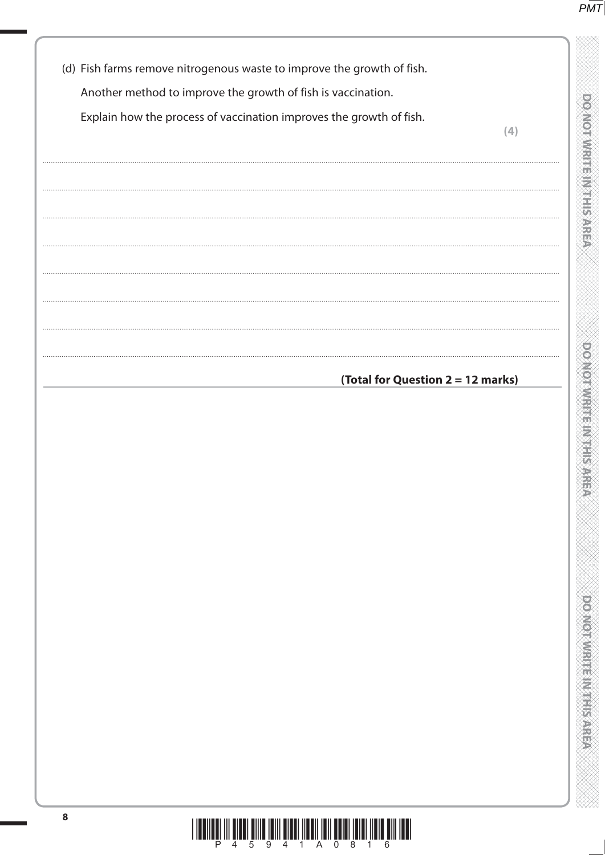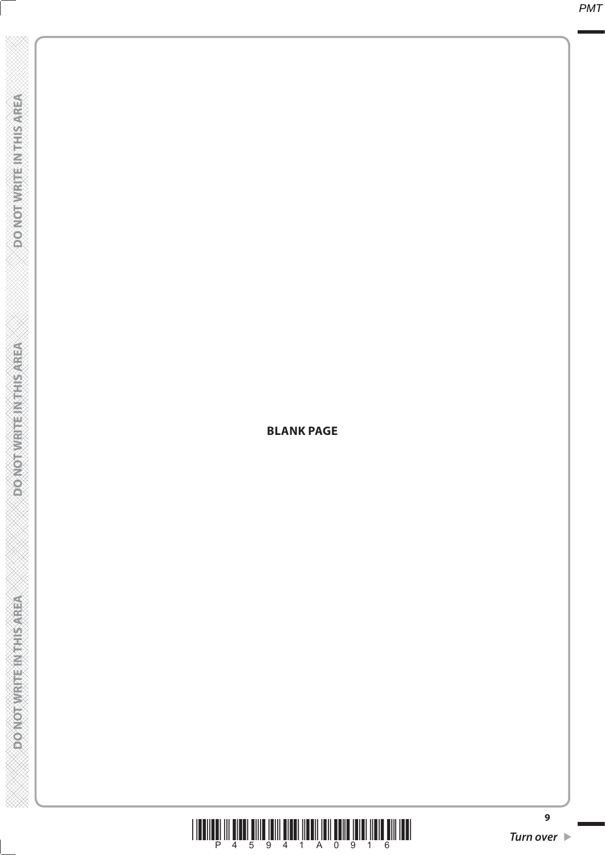**DONOTWRITEINTHISAREA** 



**BLANK PAGE**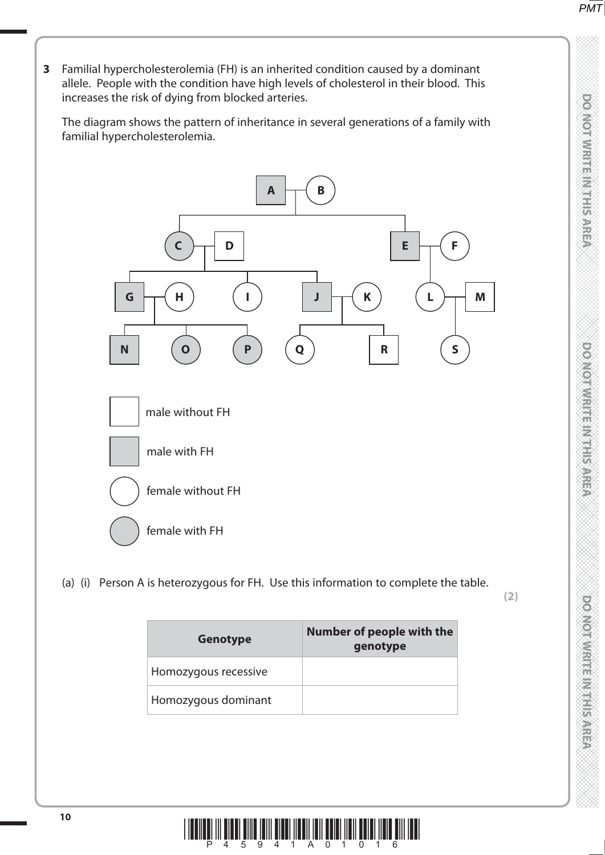**3** Familial hypercholesterolemia (FH) is an inherited condition caused by a dominant allele. People with the condition have high levels of cholesterol in their blood. This increases the risk of dying from blocked arteries.

 The diagram shows the pattern of inheritance in several generations of a family with familial hypercholesterolemia.



(a) (i) Person A is heterozygous for FH. Use this information to complete the table.

**(2)**

| <b>Genotype</b>      | <b>Number of people with the</b><br>genotype |
|----------------------|----------------------------------------------|
| Homozygous recessive |                                              |
| Homozygous dominant  |                                              |



**DOOMOTIVES IN STREET**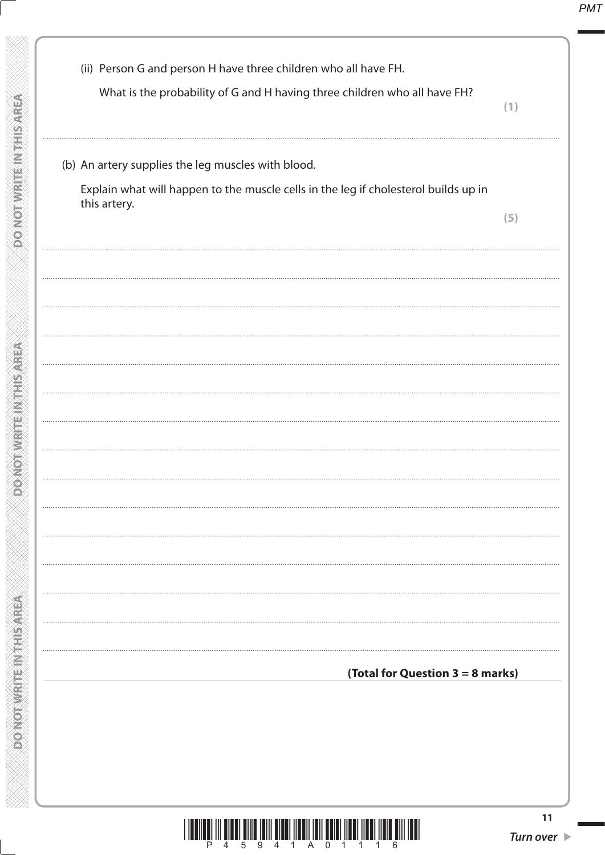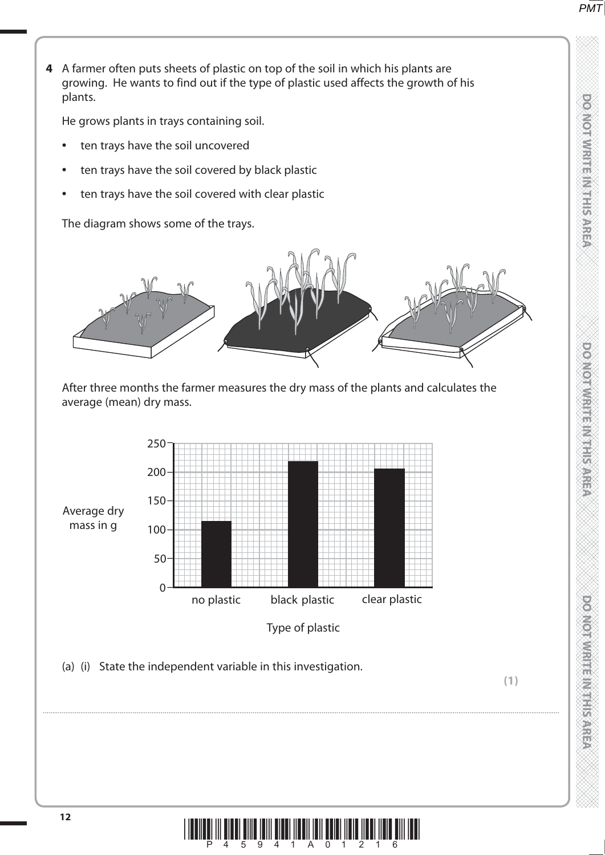**CONTRACT DESCRIPTIONS** 

**(1)**



 **4** A farmer often puts sheets of plastic on top of the soil in which his plants are

 After three months the farmer measures the dry mass of the plants and calculates the average (mean) dry mass.



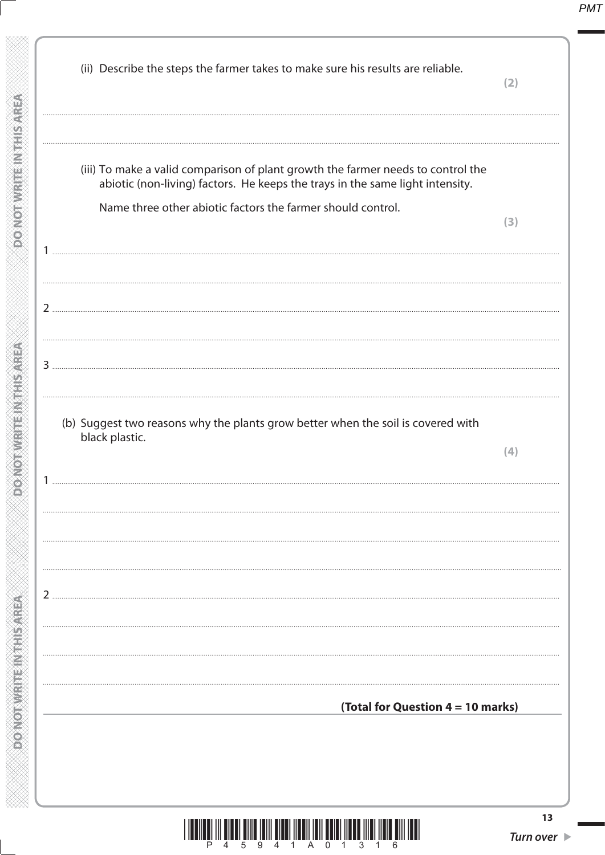|                            | (ii) Describe the steps the farmer takes to make sure his results are reliable.                                                                                                                                                  | (2) |
|----------------------------|----------------------------------------------------------------------------------------------------------------------------------------------------------------------------------------------------------------------------------|-----|
| 1                          | (iii) To make a valid comparison of plant growth the farmer needs to control the<br>abiotic (non-living) factors. He keeps the trays in the same light intensity.<br>Name three other abiotic factors the farmer should control. | (3) |
| $2$<br>3<br>black plastic. | (b) Suggest two reasons why the plants grow better when the soil is covered with                                                                                                                                                 | (4) |
| 2                          |                                                                                                                                                                                                                                  |     |
|                            | (Total for Question 4 = 10 marks)                                                                                                                                                                                                |     |
|                            |                                                                                                                                                                                                                                  |     |

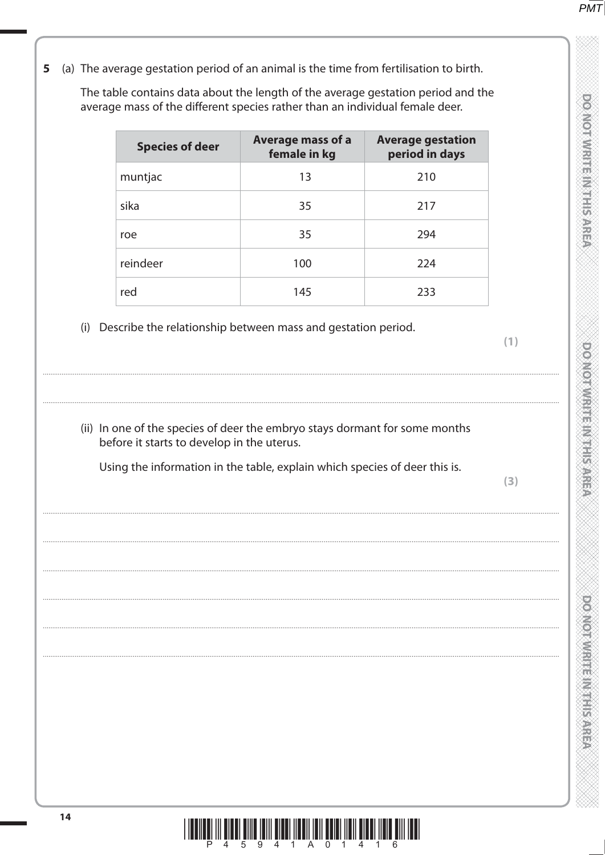**Power Members Assembly** 

(a) The average gestation period of an animal is the time from fertilisation to birth. 5

The table contains data about the length of the average gestation period and the average mass of the different species rather than an individual female deer.

| <b>Species of deer</b> | <b>Average mass of a</b><br>female in kg | <b>Average gestation</b><br>period in days |
|------------------------|------------------------------------------|--------------------------------------------|
| muntjac                | 13                                       | 210                                        |
| sika                   | 35                                       | 217                                        |
| roe                    | 35                                       | 294                                        |
| reindeer               | 100                                      | 224                                        |
| red                    | 145                                      | 233                                        |

(i) Describe the relationship between mass and gestation period.

(ii) In one of the species of deer the embryo stays dormant for some months before it starts to develop in the uterus.

Using the information in the table, explain which species of deer this is.

 $(1)$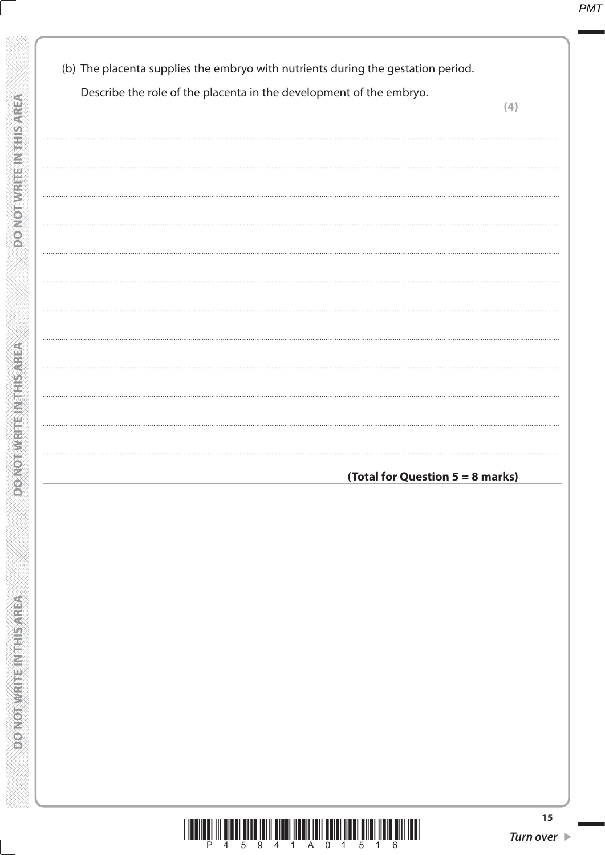(b) The placenta supplies the embryo with nutrients during the gestation period. Describe the role of the placenta in the development of the embryo.  $(4)$ (Total for Question 5 = 8 marks)  $15$ 

**DONOT WRITE INTHIS AREA** 

**DONOT WRITE NITHIS AREA** 

**DO NOT WRITEIN THIS AREA** 

6